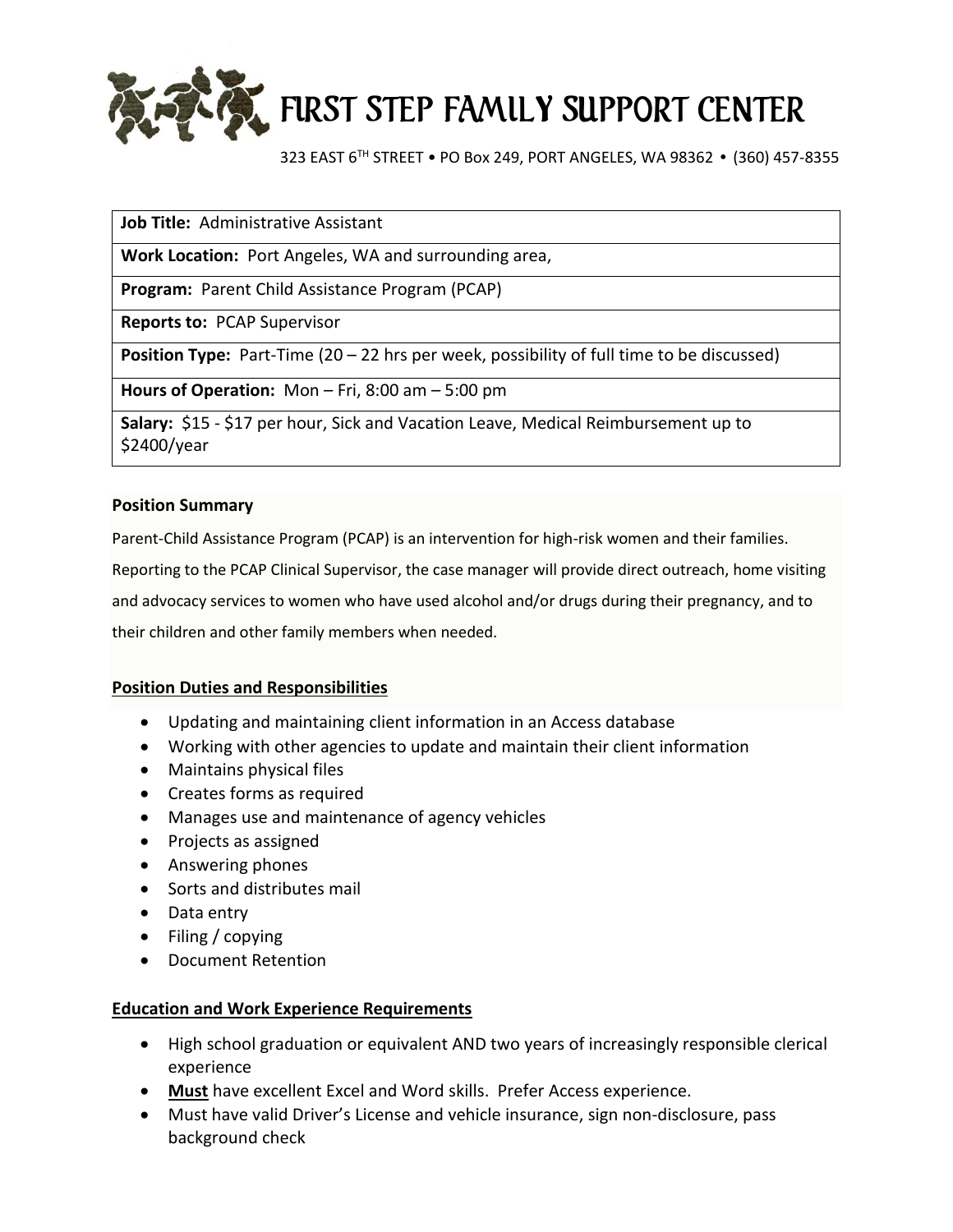

323 EAST 6TH STREET • PO Box 249, PORT ANGELES, WA 98362 • (360) 457-8355

**Job Title:** Administrative Assistant

**Work Location:** Port Angeles, WA and surrounding area,

**Program:** Parent Child Assistance Program (PCAP)

**Reports to:** PCAP Supervisor

**Position Type:** Part-Time (20 – 22 hrs per week, possibility of full time to be discussed)

**Hours of Operation:** Mon – Fri, 8:00 am – 5:00 pm

**Salary:** \$15 - \$17 per hour, Sick and Vacation Leave, Medical Reimbursement up to \$2400/year

## **Position Summary**

Parent-Child Assistance Program (PCAP) is an intervention for high-risk women and their families.

Reporting to the PCAP Clinical Supervisor, the case manager will provide direct outreach, home visiting

and advocacy services to women who have used alcohol and/or drugs during their pregnancy, and to

their children and other family members when needed.

## **Position Duties and Responsibilities**

- Updating and maintaining client information in an Access database
- Working with other agencies to update and maintain their client information
- Maintains physical files
- Creates forms as required
- Manages use and maintenance of agency vehicles
- Projects as assigned
- Answering phones
- Sorts and distributes mail
- Data entry
- Filing / copying
- Document Retention

## **Education and Work Experience Requirements**

- High school graduation or equivalent AND two years of increasingly responsible clerical experience
- **Must** have excellent Excel and Word skills. Prefer Access experience.
- Must have valid Driver's License and vehicle insurance, sign non-disclosure, pass background check